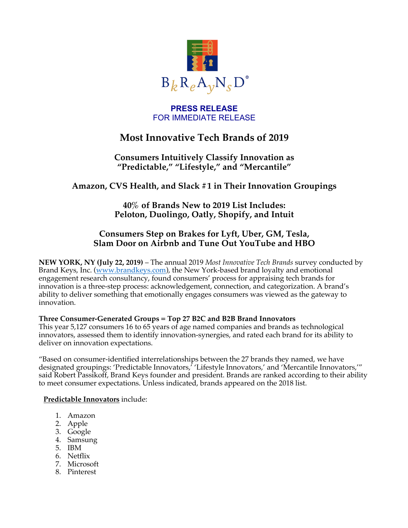

### **PRESS RELEASE** FOR IMMEDIATE RELEASE

# **Most Innovative Tech Brands of 2019**

## **Consumers Intuitively Classify Innovation as "Predictable," "Lifestyle," and "Mercantile"**

## **Amazon, CVS Health, and Slack #1 in Their Innovation Groupings**

## **40% of Brands New to 2019 List Includes: Peloton, Duolingo, Oatly, Shopify, and Intuit**

## **Consumers Step on Brakes for Lyft, Uber, GM, Tesla, Slam Door on Airbnb and Tune Out YouTube and HBO**

**NEW YORK, NY (July 22, 2019)** – The annual 2019 *Most Innovative Tech Brands* survey conducted by Brand Keys, Inc. (www.brandkeys.com), the New York-based brand loyalty and emotional engagement research consultancy, found consumers' process for appraising tech brands for innovation is a three-step process: acknowledgement, connection, and categorization. A brand's ability to deliver something that emotionally engages consumers was viewed as the gateway to innovation.

#### **Three Consumer-Generated Groups = Top 27 B2C and B2B Brand Innovators**

This year 5,127 consumers 16 to 65 years of age named companies and brands as technological innovators, assessed them to identify innovation-synergies, and rated each brand for its ability to deliver on innovation expectations.

"Based on consumer-identified interrelationships between the 27 brands they named, we have designated groupings: 'Predictable Innovators,' 'Lifestyle Innovators,' and 'Mercantile Innovators,'" said Robert Passikoff, Brand Keys founder and president. Brands are ranked according to their ability to meet consumer expectations. Unless indicated, brands appeared on the 2018 list.

#### **Predictable Innovators** include:

- 1. Amazon
- 2. Apple
- 3. Google
- 4. Samsung
- 5. IBM
- 6. Netflix
- 7. Microsoft
- 8. Pinterest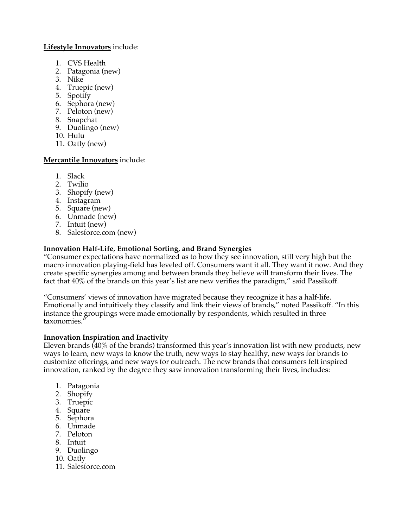#### **Lifestyle Innovators** include:

- 1. CVS Health
- 2. Patagonia (new)
- 3. Nike
- 4. Truepic (new)
- 5. Spotify
- 6. Sephora (new)
- 7. Peloton (new)
- 8. Snapchat
- 9. Duolingo (new)
- 10. Hulu
- 11. Oatly (new)

#### **Mercantile Innovators** include:

- 1. Slack
- 2. Twilio
- 3. Shopify (new)
- 4. Instagram
- 5. Square (new)
- 6. Unmade (new)
- 7. Intuit (new)
- 8. Salesforce.com (new)

#### **Innovation Half-Life, Emotional Sorting, and Brand Synergies**

"Consumer expectations have normalized as to how they see innovation, still very high but the macro innovation playing-field has leveled off. Consumers want it all. They want it now. And they create specific synergies among and between brands they believe will transform their lives. The fact that 40% of the brands on this year's list are new verifies the paradigm," said Passikoff.

"Consumers' views of innovation have migrated because they recognize it has a half-life. Emotionally and intuitively they classify and link their views of brands," noted Passikoff. "In this instance the groupings were made emotionally by respondents, which resulted in three taxonomies."

#### **Innovation Inspiration and Inactivity**

Eleven brands (40% of the brands) transformed this year's innovation list with new products, new ways to learn, new ways to know the truth, new ways to stay healthy, new ways for brands to customize offerings, and new ways for outreach. The new brands that consumers felt inspired innovation, ranked by the degree they saw innovation transforming their lives, includes:

- 1. Patagonia
- 2. Shopify
- 3. Truepic
- 4. Square
- 5. Sephora
- 6. Unmade
- 7. Peloton
- 8. Intuit
- 9. Duolingo
- 10. Oatly
- 11. Salesforce.com